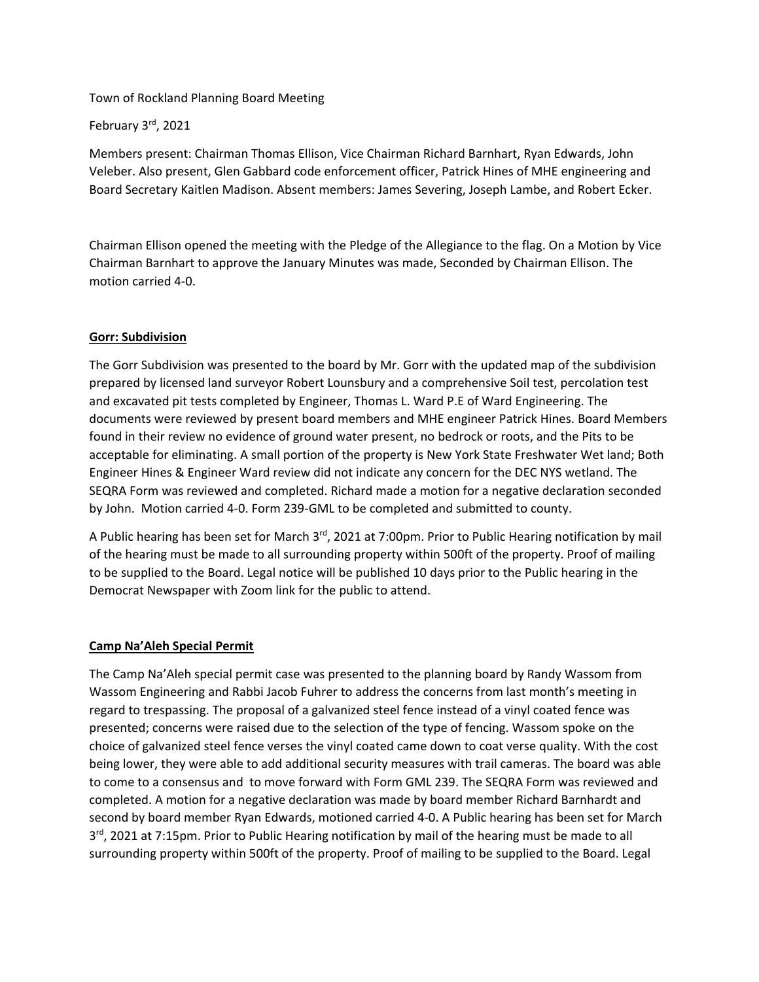### Town of Rockland Planning Board Meeting

## February 3rd, 2021

Members present: Chairman Thomas Ellison, Vice Chairman Richard Barnhart, Ryan Edwards, John Veleber. Also present, Glen Gabbard code enforcement officer, Patrick Hines of MHE engineering and Board Secretary Kaitlen Madison. Absent members: James Severing, Joseph Lambe, and Robert Ecker.

Chairman Ellison opened the meeting with the Pledge of the Allegiance to the flag. On a Motion by Vice Chairman Barnhart to approve the January Minutes was made, Seconded by Chairman Ellison. The motion carried 4-0.

## **Gorr: Subdivision**

The Gorr Subdivision was presented to the board by Mr. Gorr with the updated map of the subdivision prepared by licensed land surveyor Robert Lounsbury and a comprehensive Soil test, percolation test and excavated pit tests completed by Engineer, Thomas L. Ward P.E of Ward Engineering. The documents were reviewed by present board members and MHE engineer Patrick Hines. Board Members found in their review no evidence of ground water present, no bedrock or roots, and the Pits to be acceptable for eliminating. A small portion of the property is New York State Freshwater Wet land; Both Engineer Hines & Engineer Ward review did not indicate any concern for the DEC NYS wetland. The SEQRA Form was reviewed and completed. Richard made a motion for a negative declaration seconded by John. Motion carried 4-0. Form 239-GML to be completed and submitted to county.

A Public hearing has been set for March 3<sup>rd</sup>, 2021 at 7:00pm. Prior to Public Hearing notification by mail of the hearing must be made to all surrounding property within 500ft of the property. Proof of mailing to be supplied to the Board. Legal notice will be published 10 days prior to the Public hearing in the Democrat Newspaper with Zoom link for the public to attend.

#### **Camp Na'Aleh Special Permit**

The Camp Na'Aleh special permit case was presented to the planning board by Randy Wassom from Wassom Engineering and Rabbi Jacob Fuhrer to address the concerns from last month's meeting in regard to trespassing. The proposal of a galvanized steel fence instead of a vinyl coated fence was presented; concerns were raised due to the selection of the type of fencing. Wassom spoke on the choice of galvanized steel fence verses the vinyl coated came down to coat verse quality. With the cost being lower, they were able to add additional security measures with trail cameras. The board was able to come to a consensus and to move forward with Form GML 239. The SEQRA Form was reviewed and completed. A motion for a negative declaration was made by board member Richard Barnhardt and second by board member Ryan Edwards, motioned carried 4-0. A Public hearing has been set for March 3<sup>rd</sup>, 2021 at 7:15pm. Prior to Public Hearing notification by mail of the hearing must be made to all surrounding property within 500ft of the property. Proof of mailing to be supplied to the Board. Legal